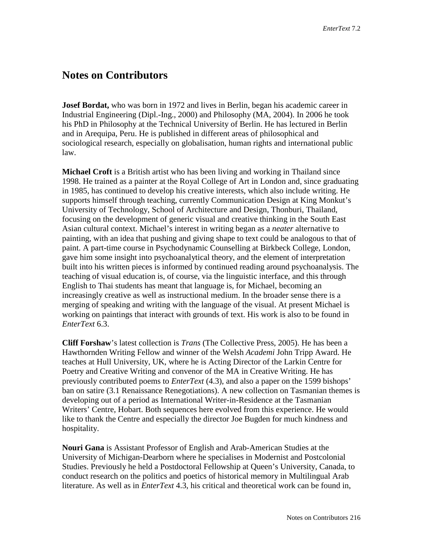## **Notes on Contributors**

**Josef Bordat,** who was born in 1972 and lives in Berlin, began his academic career in Industrial Engineering (Dipl.-Ing., 2000) and Philosophy (MA, 2004). In 2006 he took his PhD in Philosophy at the Technical University of Berlin. He has lectured in Berlin and in Arequipa, Peru. He is published in different areas of philosophical and sociological research, especially on globalisation, human rights and international public law.

**Michael Croft** is a British artist who has been living and working in Thailand since 1998. He trained as a painter at the Royal College of Art in London and, since graduating in 1985, has continued to develop his creative interests, which also include writing. He supports himself through teaching, currently Communication Design at King Monkut's University of Technology, School of Architecture and Design, Thonburi, Thailand, focusing on the development of generic visual and creative thinking in the South East Asian cultural context. Michael's interest in writing began as a *neater* alternative to painting, with an idea that pushing and giving shape to text could be analogous to that of paint. A part-time course in Psychodynamic Counselling at Birkbeck College, London, gave him some insight into psychoanalytical theory, and the element of interpretation built into his written pieces is informed by continued reading around psychoanalysis. The teaching of visual education is, of course, via the linguistic interface, and this through English to Thai students has meant that language is, for Michael, becoming an increasingly creative as well as instructional medium. In the broader sense there is a merging of speaking and writing with the language of the visual. At present Michael is working on paintings that interact with grounds of text. His work is also to be found in *EnterText* 6.3.

**Cliff Forshaw**'s latest collection is *Trans* (The Collective Press, 2005). He has been a Hawthornden Writing Fellow and winner of the Welsh *Academi* John Tripp Award. He teaches at Hull University, UK, where he is Acting Director of the Larkin Centre for Poetry and Creative Writing and convenor of the MA in Creative Writing. He has previously contributed poems to *EnterText* (4.3), and also a paper on the 1599 bishops' ban on satire (3.1 Renaissance Renegotiations). A new collection on Tasmanian themes is developing out of a period as International Writer-in-Residence at the Tasmanian Writers' Centre, Hobart. Both sequences here evolved from this experience. He would like to thank the Centre and especially the director Joe Bugden for much kindness and hospitality.

**Nouri Gana** is Assistant Professor of English and Arab-American Studies at the University of Michigan-Dearborn where he specialises in Modernist and Postcolonial Studies. Previously he held a Postdoctoral Fellowship at Queen's University, Canada, to conduct research on the politics and poetics of historical memory in Multilingual Arab literature. As well as in *EnterText* 4.3, his critical and theoretical work can be found in,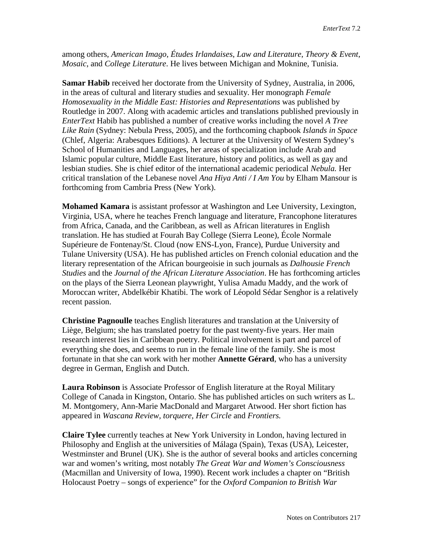among others, *American Imago*, *Études Irlandaises*, *Law and Literature*, *Theory & Event*, *Mosaic*, and *College Literature*. He lives between Michigan and Moknine, Tunisia.

**Samar Habib** received her doctorate from the University of Sydney, Australia, in 2006, in the areas of cultural and literary studies and sexuality. Her monograph *Female Homosexuality in the Middle East: Histories and Representations* was published by Routledge in 2007. Along with academic articles and translations published previously in *EnterText* Habib has published a number of creative works including the novel *A Tree Like Rain* (Sydney: Nebula Press, 2005), and the forthcoming chapbook *Islands in Space*  (Chlef, Algeria: Arabesques Editions). A lecturer at the University of Western Sydney's School of Humanities and Languages, her areas of specialization include Arab and Islamic popular culture, Middle East literature, history and politics, as well as gay and lesbian studies. She is chief editor of the international academic periodical *Nebula.* Her critical translation of the Lebanese novel *Ana Hiya Anti / I Am You* by Elham Mansour is forthcoming from Cambria Press (New York).

**Mohamed Kamara** is assistant professor at Washington and Lee University, Lexington, Virginia, USA, where he teaches French language and literature, Francophone literatures from Africa, Canada, and the Caribbean, as well as African literatures in English translation. He has studied at Fourah Bay College (Sierra Leone), École Normale Supérieure de Fontenay/St. Cloud (now ENS-Lyon, France), Purdue University and Tulane University (USA). He has published articles on French colonial education and the literary representation of the African bourgeoisie in such journals as *Dalhousie French Studies* and the *Journal of the African Literature Association*. He has forthcoming articles on the plays of the Sierra Leonean playwright, Yulisa Amadu Maddy, and the work of Moroccan writer, Abdelkébir Khatibi. The work of Léopold Sédar Senghor is a relatively recent passion.

**Christine Pagnoulle** teaches English literatures and translation at the University of Liège, Belgium; she has translated poetry for the past twenty-five years. Her main research interest lies in Caribbean poetry. Political involvement is part and parcel of everything she does, and seems to run in the female line of the family. She is most fortunate in that she can work with her mother **Annette Gérard**, who has a university degree in German, English and Dutch.

**Laura Robinson** is Associate Professor of English literature at the Royal Military College of Canada in Kingston, Ontario. She has published articles on such writers as L. M. Montgomery, Ann-Marie MacDonald and Margaret Atwood. Her short fiction has appeared in *Wascana Review, torquere, Her Circle* and *Frontiers.*

**Claire Tylee** currently teaches at New York University in London, having lectured in Philosophy and English at the universities of Málaga (Spain), Texas (USA), Leicester, Westminster and Brunel (UK). She is the author of several books and articles concerning war and women's writing, most notably *The Great War and Women's Consciousness*  (Macmillan and University of Iowa, 1990). Recent work includes a chapter on "British Holocaust Poetry – songs of experience" for the *Oxford Companion to British War*